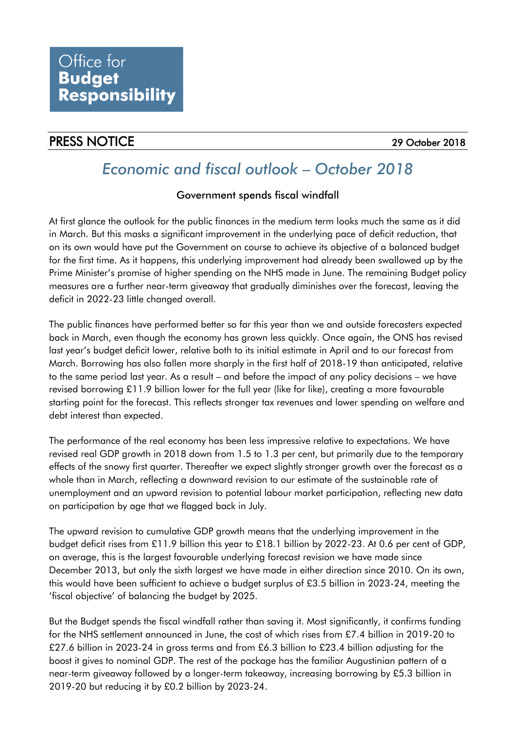## PRESS NOTICE 29 October 2018

# *Economic and fiscal outlook – October 2018*

## Government spends fiscal windfall

At first glance the outlook for the public finances in the medium term looks much the same as it did in March. But this masks a significant improvement in the underlying pace of deficit reduction, that on its own would have put the Government on course to achieve its objective of a balanced budget for the first time. As it happens, this underlying improvement had already been swallowed up by the Prime Minister's promise of higher spending on the NHS made in June. The remaining Budget policy measures are a further near-term giveaway that gradually diminishes over the forecast, leaving the deficit in 2022-23 little changed overall.

The public finances have performed better so far this year than we and outside forecasters expected back in March, even though the economy has grown less quickly. Once again, the ONS has revised last year's budget deficit lower, relative both to its initial estimate in April and to our forecast from March. Borrowing has also fallen more sharply in the first half of 2018-19 than anticipated, relative to the same period last year. As a result – and before the impact of any policy decisions – we have revised borrowing £11.9 billion lower for the full year (like for like), creating a more favourable starting point for the forecast. This reflects stronger tax revenues and lower spending on welfare and debt interest than expected.

The performance of the real economy has been less impressive relative to expectations. We have revised real GDP growth in 2018 down from 1.5 to 1.3 per cent, but primarily due to the temporary effects of the snowy first quarter. Thereafter we expect slightly stronger growth over the forecast as a whole than in March, reflecting a downward revision to our estimate of the sustainable rate of unemployment and an upward revision to potential labour market participation, reflecting new data on participation by age that we flagged back in July.

The upward revision to cumulative GDP growth means that the underlying improvement in the budget deficit rises from £11.9 billion this year to £18.1 billion by 2022-23. At 0.6 per cent of GDP, on average, this is the largest favourable underlying forecast revision we have made since December 2013, but only the sixth largest we have made in either direction since 2010. On its own, this would have been sufficient to achieve a budget surplus of £3.5 billion in 2023-24, meeting the 'fiscal objective' of balancing the budget by 2025.

But the Budget spends the fiscal windfall rather than saving it. Most significantly, it confirms funding for the NHS settlement announced in June, the cost of which rises from £7.4 billion in 2019-20 to £27.6 billion in 2023-24 in gross terms and from £6.3 billion to £23.4 billion adjusting for the boost it gives to nominal GDP. The rest of the package has the familiar Augustinian pattern of a near-term giveaway followed by a longer-term takeaway, increasing borrowing by £5.3 billion in 2019-20 but reducing it by £0.2 billion by 2023-24.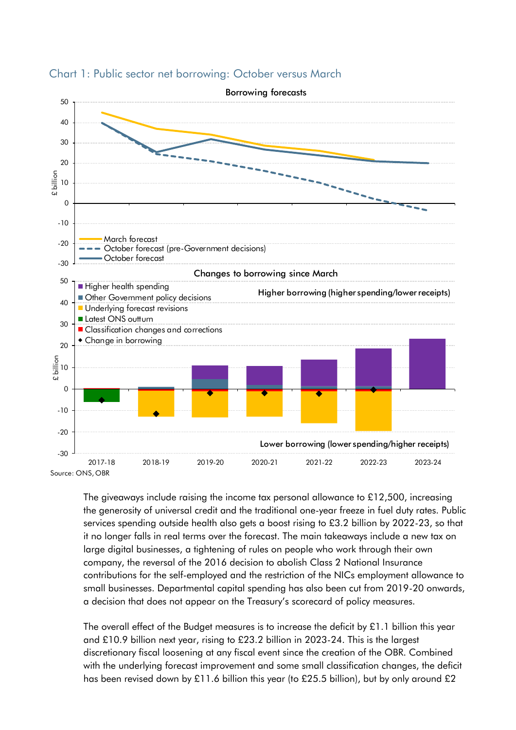



The giveaways include raising the income tax personal allowance to £12,500, increasing the generosity of universal credit and the traditional one-year freeze in fuel duty rates. Public services spending outside health also gets a boost rising to £3.2 billion by 2022-23, so that it no longer falls in real terms over the forecast. The main takeaways include a new tax on large digital businesses, a tightening of rules on people who work through their own company, the reversal of the 2016 decision to abolish Class 2 National Insurance contributions for the self-employed and the restriction of the NICs employment allowance to small businesses. Departmental capital spending has also been cut from 2019-20 onwards, a decision that does not appear on the Treasury's scorecard of policy measures.

The overall effect of the Budget measures is to increase the deficit by  $£1.1$  billion this year and £10.9 billion next year, rising to £23.2 billion in 2023-24. This is the largest discretionary fiscal loosening at any fiscal event since the creation of the OBR. Combined with the underlying forecast improvement and some small classification changes, the deficit has been revised down by £11.6 billion this year (to £25.5 billion), but by only around £2